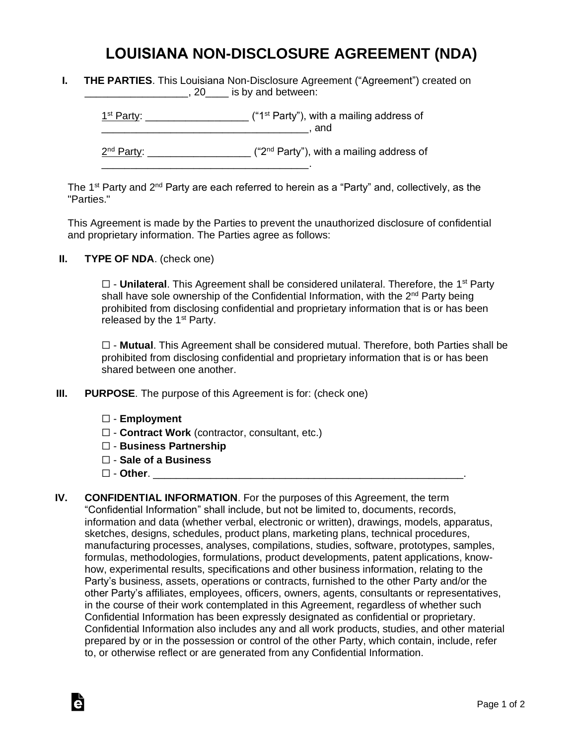## **LOUISIANA NON-DISCLOSURE AGREEMENT (NDA)**

**I. THE PARTIES**. This Louisiana Non-Disclosure Agreement ("Agreement") created on **\_\_\_\_\_\_\_\_\_\_\_\_\_\_\_\_, 20**\_\_\_\_ is by and between:

 $1<sup>st</sup> Party: _______$  $\blacksquare$  and

2<sup>nd</sup> Party: \_\_\_\_\_\_\_\_\_\_\_\_\_\_\_\_\_\_\_\_ ("2<sup>nd</sup> Party"), with a mailing address of

The 1<sup>st</sup> Party and 2<sup>nd</sup> Party are each referred to herein as a "Party" and, collectively, as the "Parties."

This Agreement is made by the Parties to prevent the unauthorized disclosure of confidential and proprietary information. The Parties agree as follows:

**II. TYPE OF NDA**. (check one)

□ - **Unilateral**. This Agreement shall be considered unilateral. Therefore, the 1<sup>st</sup> Party shall have sole ownership of the Confidential Information, with the 2<sup>nd</sup> Party being prohibited from disclosing confidential and proprietary information that is or has been released by the  $1<sup>st</sup>$  Party.

☐ - **Mutual**. This Agreement shall be considered mutual. Therefore, both Parties shall be prohibited from disclosing confidential and proprietary information that is or has been shared between one another.

**III. PURPOSE**. The purpose of this Agreement is for: (check one)

\_\_\_\_\_\_\_\_\_\_\_\_\_\_\_\_\_\_\_\_\_\_\_\_\_\_\_\_\_\_\_\_\_\_\_\_.

- ☐ **Employment**
- ☐ **Contract Work** (contractor, consultant, etc.)
- ☐ **Business Partnership**
- ☐ **Sale of a Business**
- ☐ **Other**. \_\_\_\_\_\_\_\_\_\_\_\_\_\_\_\_\_\_\_\_\_\_\_\_\_\_\_\_\_\_\_\_\_\_\_\_\_\_\_\_\_\_\_\_\_\_\_\_\_\_\_\_\_\_.

Ġ

**IV. CONFIDENTIAL INFORMATION**. For the purposes of this Agreement, the term "Confidential Information" shall include, but not be limited to, documents, records, information and data (whether verbal, electronic or written), drawings, models, apparatus, sketches, designs, schedules, product plans, marketing plans, technical procedures, manufacturing processes, analyses, compilations, studies, software, prototypes, samples, formulas, methodologies, formulations, product developments, patent applications, knowhow, experimental results, specifications and other business information, relating to the Party's business, assets, operations or contracts, furnished to the other Party and/or the other Party's affiliates, employees, officers, owners, agents, consultants or representatives, in the course of their work contemplated in this Agreement, regardless of whether such Confidential Information has been expressly designated as confidential or proprietary. Confidential Information also includes any and all work products, studies, and other material prepared by or in the possession or control of the other Party, which contain, include, refer to, or otherwise reflect or are generated from any Confidential Information.